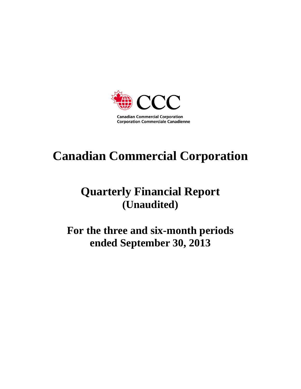

# **Canadian Commercial Corporation**

# **Quarterly Financial Report (Unaudited)**

**For the three and six-month periods ended September 30, 2013**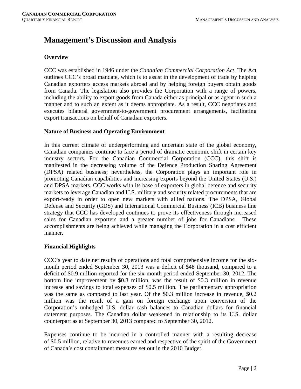# **Management's Discussion and Analysis**

# **Overview**

CCC was established in 1946 under the *Canadian Commercial Corporation Act*. The Act outlines CCC's broad mandate, which is to assist in the development of trade by helping Canadian exporters access markets abroad and by helping foreign buyers obtain goods from Canada. The legislation also provides the Corporation with a range of powers, including the ability to export goods from Canada either as principal or as agent in such a manner and to such an extent as it deems appropriate. As a result, CCC negotiates and executes bilateral government-to-government procurement arrangements, facilitating export transactions on behalf of Canadian exporters.

# **Nature of Business and Operating Environment**

In this current climate of underperforming and uncertain state of the global economy, Canadian companies continue to face a period of dramatic economic shift in certain key industry sectors. For the Canadian Commercial Corporation (CCC), this shift is manifested in the decreasing volume of the Defence Production Sharing Agreement (DPSA) related business; nevertheless, the Corporation plays an important role in promoting Canadian capabilities and increasing exports beyond the United States (U.S.) and DPSA markets. CCC works with its base of exporters in global defence and security markets to leverage Canadian and U.S. military and security related procurements that are export-ready in order to open new markets with allied nations. The DPSA, Global Defense and Security (GDS) and International Commercial Business (ICB) business line strategy that CCC has developed continues to prove its effectiveness through increased sales for Canadian exporters and a greater number of jobs for Canadians. These accomplishments are being achieved while managing the Corporation in a cost efficient manner.

# **Financial Highlights**

CCC's year to date net results of operations and total comprehensive income for the sixmonth period ended September 30, 2013 was a deficit of \$48 thousand, compared to a deficit of \$0.9 million reported for the six-month period ended September 30, 2012. The bottom line improvement by \$0.8 million, was the result of \$0.3 million in revenue increase and savings to total expenses of \$0.5 million. The parliamentary appropriation was the same as compared to last year. Of the \$0.3 million increase in revenue, \$0.2 million was the result of a gain on foreign exchange upon conversion of the Corporation's unhedged U.S. dollar cash balances to Canadian dollars for financial statement purposes. The Canadian dollar weakened in relationship to its U.S. dollar counterpart as at September 30, 2013 compared to September 30, 2012.

Expenses continue to be incurred in a controlled manner with a resulting decrease of \$0.5 million, relative to revenues earned and respective of the spirit of the Government of Canada's cost containment measures set out in the 2010 Budget.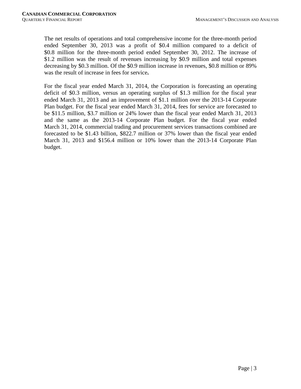The net results of operations and total comprehensive income for the three-month period ended September 30, 2013 was a profit of \$0.4 million compared to a deficit of \$0.8 million for the three-month period ended September 30, 2012. The increase of \$1.2 million was the result of revenues increasing by \$0.9 million and total expenses decreasing by \$0.3 million. Of the \$0.9 million increase in revenues, \$0.8 million or 89% was the result of increase in fees for service**.**

For the fiscal year ended March 31, 2014, the Corporation is forecasting an operating deficit of \$0.3 million, versus an operating surplus of \$1.3 million for the fiscal year ended March 31, 2013 and an improvement of \$1.1 million over the 2013-14 Corporate Plan budget. For the fiscal year ended March 31, 2014, fees for service are forecasted to be \$11.5 million, \$3.7 million or 24% lower than the fiscal year ended March 31, 2013 and the same as the 2013-14 Corporate Plan budget. For the fiscal year ended March 31, 2014, commercial trading and procurement services transactions combined are forecasted to be \$1.43 billion, \$822.7 million or 37% lower than the fiscal year ended March 31, 2013 and \$156.4 million or 10% lower than the 2013-14 Corporate Plan budget.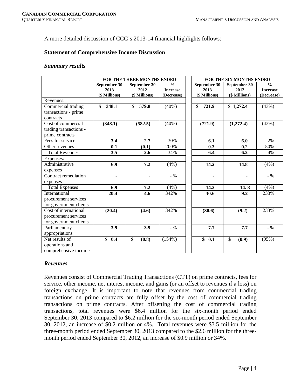A more detailed discussion of CCC's 2013-14 financial highlights follows:

# **Statement of Comprehensive Income Discussion**

#### *Summary results*

|                        |                      | FOR THE THREE MONTHS ENDED |                               | FOR THE SIX MONTHS ENDED |                      |                               |  |  |  |
|------------------------|----------------------|----------------------------|-------------------------------|--------------------------|----------------------|-------------------------------|--|--|--|
|                        | September 30<br>2013 | September 30<br>2012       | $\frac{0}{0}$                 | September 30<br>2013     | September 30<br>2012 | $\frac{0}{0}$                 |  |  |  |
|                        | (\$ Millions)        | (\$ Millions)              | <b>Increase</b><br>(Decrease) | (\$ Millions)            | (\$ Millions)        | <b>Increase</b><br>(Decrease) |  |  |  |
| Revenues:              |                      |                            |                               |                          |                      |                               |  |  |  |
| Commercial trading     | \$<br>348.1          | 579.8<br>\$                | $(40\%)$                      | \$<br>721.9              | \$1,272.4            | (43%)                         |  |  |  |
| transactions - prime   |                      |                            |                               |                          |                      |                               |  |  |  |
| contracts              |                      |                            |                               |                          |                      |                               |  |  |  |
| Cost of commercial     | (348.1)              | (582.5)                    | $(40\%)$                      | (721.9)                  | (1,272.4)            | (43%)                         |  |  |  |
| trading transactions - |                      |                            |                               |                          |                      |                               |  |  |  |
| prime contracts        |                      |                            |                               |                          |                      |                               |  |  |  |
| Fees for service       | 3.4                  | 2.7                        | 30%                           | 6.1                      | 6.0                  | 2%                            |  |  |  |
| Other revenues         | 0.1                  | (0.1)                      | 200%                          | 0.3                      | 0.2                  | 50%                           |  |  |  |
| <b>Total Revenues</b>  | 3.5                  | 2.6                        | 34%                           | 6.4                      | 6.2                  | 4%                            |  |  |  |
| Expenses:              |                      |                            |                               |                          |                      |                               |  |  |  |
| Administrative         | 6.9                  | 7.2                        | (4%)                          | 14.2                     | 14.8                 | (4%)                          |  |  |  |
| expenses               |                      |                            |                               |                          |                      |                               |  |  |  |
| Contract remediation   | ۰                    | $\overline{\phantom{a}}$   | $-$ %                         | ۰                        |                      | $-$ %                         |  |  |  |
| expenses               |                      |                            |                               |                          |                      |                               |  |  |  |
| <b>Total Expenses</b>  | 6.9                  | 7.2                        | (4%)                          | 14.2                     | 14.8                 | (4%)                          |  |  |  |
| International          | 20.4                 | 4.6                        | 342%                          | 30.6                     | 9.2                  | 233%                          |  |  |  |
| procurement services   |                      |                            |                               |                          |                      |                               |  |  |  |
| for government clients |                      |                            |                               |                          |                      |                               |  |  |  |
| Cost of international  | (20.4)               | (4.6)                      | 342%                          | (30.6)                   | (9.2)                | 233%                          |  |  |  |
| procurement services   |                      |                            |                               |                          |                      |                               |  |  |  |
| for government clients |                      |                            |                               |                          |                      |                               |  |  |  |
| Parliamentary          | 3.9                  | 3.9                        | $-$ %                         | 7.7                      | 7.7                  | $-$ %                         |  |  |  |
| appropriations         |                      |                            |                               |                          |                      |                               |  |  |  |
| Net results of         | \$<br>0.4            | \$<br>(0.8)                | (154%)                        | \$<br>0.1                | \$<br>(0.9)          | (95%)                         |  |  |  |
| operations and         |                      |                            |                               |                          |                      |                               |  |  |  |
| comprehensive income   |                      |                            |                               |                          |                      |                               |  |  |  |

# *Revenues*

Revenues consist of Commercial Trading Transactions (CTT) on prime contracts, fees for service, other income, net interest income, and gains (or an offset to revenues if a loss) on foreign exchange. It is important to note that revenues from commercial trading transactions on prime contracts are fully offset by the cost of commercial trading transactions on prime contracts. After offsetting the cost of commercial trading transactions, total revenues were \$6.4 million for the six-month period ended September 30, 2013 compared to \$6.2 million for the six-month period ended September 30, 2012, an increase of \$0.2 million or 4%. Total revenues were \$3.5 million for the three-month period ended September 30, 2013 compared to the \$2.6 million for the threemonth period ended September 30, 2012, an increase of \$0.9 million or 34%.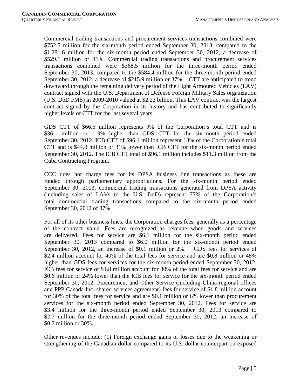Commercial trading transactions and procurement services transactions combined were \$752.5 million for the six-month period ended September 30, 2013, compared to the \$1,281.6 million for the six-month period ended September 30, 2012, a decrease of \$529.1 million or 41%. Commercial trading transactions and procurement services transactions combined were \$368.5 million for the three-month period ended September 30, 2013, compared to the \$584.4 million for the three-month period ended September 30, 2012, a decrease of \$215.9 million or 37%. CTT are anticipated to trend downward through the remaining delivery period of the Light Armoured Vehicles (LAV) contract signed with the U.S. Department of Defense Foreign Military Sales organization (U.S. DoD FMS) in 2009-2010 valued at \$2.22 billion. This LAV contract was the largest contract signed by the Corporation in its history and has contributed to significantly higher levels of CTT for the last several years.

GDS CTT of \$66.5 million represents 9% of the Corporation's total CTT and is \$36.1 million or 119% higher than GDS CTT for the six-month period ended September 30, 2012. ICB CTT of \$96.1 million represent 13% of the Corporation's total CTT and is \$44.0 million or 31% lower than ICB CTT for the six-month period ended September 30, 2012. The ICB CTT total of \$96.1 million includes \$11.3 million from the Cuba Contracting Program.

CCC does not charge fees for its DPSA business line transactions as these are funded through parliamentary appropriations. For the six-month period ended September 30, 2013, commercial trading transactions generated from DPSA activity (including sales of LAVs to the U.S. DoD) represent 77% of the Corporation's total commercial trading transactions compared to the six-month period ended September 30, 2012 of 87%.

For all of its other business lines, the Corporation charges fees, generally as a percentage of the contract value. Fees are recognized as revenue when goods and services are delivered. Fees for service are \$6.1 million for the six-month period ended September 30, 2013 compared to \$6.0 million for the six-month period ended September 30, 2012, an increase of \$0.1 million or 2%. GDS fees for services of \$2.4 million account for 40% of the total fees for service and are \$0.8 million or 48% higher than GDS fees for services for the six-month period ended September 30, 2012. ICB fees for service of \$1.8 million account for 30% of the total fees for service and are \$0.6 million or 24% lower than the ICB fees for service for the six-month period ended September 30, 2012. Procurement and Other Service (including China-regional offices and PPP Canada Inc.-shared services agreement) fees for service of \$1.8 million account for 30% of the total fees for service and are \$0.1 million or 6% lower than procurement services for the six-month period ended September 30, 2012. Fees for service are \$3.4 million for the three-month period ended September 30, 2013 compared to \$2.7 million for the three-month period ended September 30, 2012, an increase of \$0.7 million or 30%.

Other revenues include: (1) Foreign exchange gains or losses due to the weakening or strengthening of the Canadian dollar compared to its U.S. dollar counterpart on exposed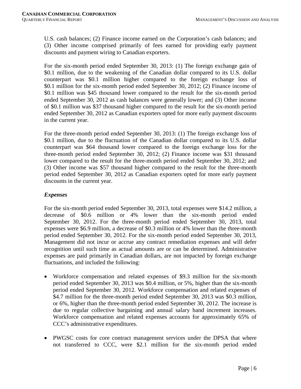U.S. cash balances; (2) Finance income earned on the Corporation's cash balances; and (3) Other income comprised primarily of fees earned for providing early payment discounts and payment wiring to Canadian exporters.

For the six-month period ended September 30, 2013: (1) The foreign exchange gain of \$0.1 million, due to the weakening of the Canadian dollar compared to its U.S. dollar counterpart was \$0.1 million higher compared to the foreign exchange loss of \$0.1 million for the six-month period ended September 30, 2012; (2) Finance income of \$0.1 million was \$45 thousand lower compared to the result for the six-month period ended September 30, 2012 as cash balances were generally lower; and (3) Other income of \$0.1 million was \$37 thousand higher compared to the result for the six-month period ended September 30, 2012 as Canadian exporters opted for more early payment discounts in the current year.

For the three-month period ended September 30, 2013: (1) The foreign exchange loss of \$0.1 million, due to the fluctuation of the Canadian dollar compared to its U.S. dollar counterpart was \$64 thousand lower compared to the foreign exchange loss for the three-month period ended September 30, 2012; (2) Finance income was \$31 thousand lower compared to the result for the three-month period ended September 30, 2012; and (3) Other income was \$57 thousand higher compared to the result for the three-month period ended September 30, 2012 as Canadian exporters opted for more early payment discounts in the current year.

# *Expenses*

For the six-month period ended September 30, 2013, total expenses were \$14.2 million, a decrease of \$0.6 million or 4% lower than the six-month period ended September 30, 2012. For the three-month period ended September 30, 2013, total expenses were \$6.9 million, a decrease of \$0.3 million or 4% lower than the three-month period ended September 30, 2012. For the six-month period ended September 30, 2013, Management did not incur or accrue any contract remediation expenses and will defer recognition until such time as actual amounts are or can be determined. Administrative expenses are paid primarily in Canadian dollars, are not impacted by foreign exchange fluctuations, and included the following:

- Workforce compensation and related expenses of \$9.3 million for the six-month period ended September 30, 2013 was \$0.4 million, or 5%, higher than the six-month period ended September 30, 2012. Workforce compensation and related expenses of \$4.7 million for the three-month period ended September 30, 2013 was \$0.3 million, or 6%, higher than the three-month period ended September 30, 2012. The increase is due to regular collective bargaining and annual salary band increment increases. Workforce compensation and related expenses accounts for approximately 65% of CCC's administrative expenditures.
- PWGSC costs for core contract management services under the DPSA that where not transferred to CCC, were \$2.1 million for the six-month period ended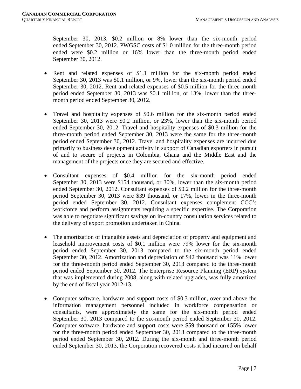September 30, 2013, \$0.2 million or 8% lower than the six-month period ended September 30, 2012. PWGSC costs of \$1.0 million for the three-month period ended were \$0.2 million or 16% lower than the three-month period ended September 30, 2012.

- Rent and related expenses of \$1.1 million for the six-month period ended September 30, 2013 was \$0.1 million, or 9%, lower than the six-month period ended September 30, 2012. Rent and related expenses of \$0.5 million for the three-month period ended September 30, 2013 was \$0.1 million, or 13%, lower than the threemonth period ended September 30, 2012.
- Travel and hospitality expenses of \$0.6 million for the six-month period ended September 30, 2013 were \$0.2 million, or 23%, lower than the six-month period ended September 30, 2012. Travel and hospitality expenses of \$0.3 million for the three-month period ended September 30, 2013 were the same for the three-month period ended September 30, 2012. Travel and hospitality expenses are incurred due primarily to business development activity in support of Canadian exporters in pursuit of and to secure of projects in Colombia, Ghana and the Middle East and the management of the projects once they are secured and effective.
- Consultant expenses of \$0.4 million for the six-month period ended September 30, 2013 were \$154 thousand, or 30%, lower than the six-month period ended September 30, 2012. Consultant expenses of \$0.2 million for the three-month period September 30, 2013 were \$39 thousand, or 17%, lower in the three-month period ended September 30, 2012. Consultant expenses complement CCC's workforce and perform assignments requiring a specific expertise. The Corporation was able to negotiate significant savings on in-country consultation services related to the delivery of export promotion undertaken in China.
- The amortization of intangible assets and depreciation of property and equipment and leasehold improvement costs of \$0.1 million were 79% lower for the six-month period ended September 30, 2013 compared to the six-month period ended September 30, 2012. Amortization and depreciation of \$42 thousand was 11% lower for the three-month period ended September 30, 2013 compared to the three-month period ended September 30, 2012. The Enterprise Resource Planning (ERP) system that was implemented during 2008, along with related upgrades, was fully amortized by the end of fiscal year 2012-13.
- Computer software, hardware and support costs of \$0.3 million, over and above the information management personnel included in workforce compensation or consultants, were approximately the same for the six-month period ended September 30, 2013 compared to the six-month period ended September 30, 2012. Computer software, hardware and support costs were \$59 thousand or 155% lower for the three-month period ended September 30, 2013 compared to the three-month period ended September 30, 2012. During the six-month and three-month period ended September 30, 2013, the Corporation recovered costs it had incurred on behalf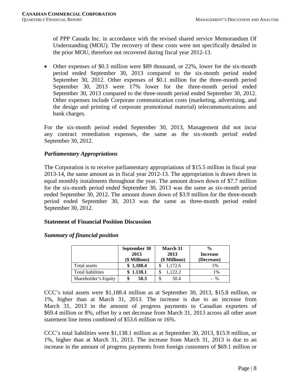of PPP Canada Inc. in accordance with the revised shared service Memorandum Of Understanding (MOU). The recovery of these costs were not specifically detailed in the prior MOU, therefore not recovered during fiscal year 2012-13.

• Other expenses of \$0.3 million were \$89 thousand, or 22%, lower for the six-month period ended September 30, 2013 compared to the six-month period ended September 30, 2012. Other expenses of \$0.1 million for the three-month period September 30, 2013 were 17% lower for the three-month period ended September 30, 2013 compared to the three-month period ended September 30, 2012. Other expenses include Corporate communication costs (marketing, advertising, and the design and printing of corporate promotional material) telecommunications and bank charges.

For the six-month period ended September 30, 2013, Management did not incur any contract remediation expenses, the same as the six-month period ended September 30, 2012.

# *Parliamentary Appropriations*

The Corporation is to receive parliamentary appropriations of \$15.5 million in fiscal year 2013-14, the same amount as in fiscal year 2012-13. The appropriation is drawn down in equal monthly instalments throughout the year. The amount drawn down of \$7.7 million for the six-month period ended September 30, 2013 was the same as six-month period ended September 30, 2012. The amount drawn down of \$3.9 million for the three-month period ended September 30, 2013 was the same as three-month period ended September 30, 2012.

# **Statement of Financial Position Discussion**

# *Summary of financial position*

|                          | September 30          | March 31              | $\frac{0}{0}$                 |
|--------------------------|-----------------------|-----------------------|-------------------------------|
|                          | 2013<br>(\$ Millions) | 2013<br>(\$ Millions) | <b>Increase</b><br>(Decrease) |
| Total assets             | \$1,188.4             | 1,172.6               | 1%                            |
| <b>Total liabilities</b> | \$1.138.1             | 1.122.2               | $1\%$                         |
| Shareholder's Equity     | 50.3                  | 50.4                  | $-$ %                         |

CCC's total assets were \$1,188.4 million as at September 30, 2013, \$15.8 million, or 1%, higher than at March 31, 2013. The increase is due to an increase from March 31, 2013 in the amount of progress payments to Canadian exporters of \$69.4 million or 8%, offset by a net decrease from March 31, 2013 across all other asset statement line items combined of \$53.6 million or 16%.

CCC's total liabilities were \$1,138.1 million as at September 30, 2013, \$15.9 million, or 1%, higher than at March 31, 2013. The increase from March 31, 2013 is due to an increase in the amount of progress payments from foreign customers of \$69.1 million or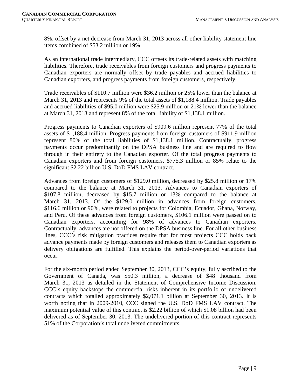8%, offset by a net decrease from March 31, 2013 across all other liability statement line items combined of \$53.2 million or 19%.

As an international trade intermediary, CCC offsets its trade-related assets with matching liabilities. Therefore, trade receivables from foreign customers and progress payments to Canadian exporters are normally offset by trade payables and accrued liabilities to Canadian exporters, and progress payments from foreign customers, respectively.

Trade receivables of \$110.7 million were \$36.2 million or 25% lower than the balance at March 31, 2013 and represents 9% of the total assets of \$1,188.4 million. Trade payables and accrued liabilities of \$95.0 million were \$25.9 million or 21% lower than the balance at March 31, 2013 and represent 8% of the total liability of \$1,138.1 million.

Progress payments to Canadian exporters of \$909.6 million represent 77% of the total assets of \$1,188.4 million. Progress payments from foreign customers of \$911.9 million represent 80% of the total liabilities of \$1,138.1 million. Contractually, progress payments occur predominantly on the DPSA business line and are required to flow through in their entirety to the Canadian exporter. Of the total progress payments to Canadian exporters and from foreign customers, \$775.3 million or 85% relate to the significant \$2.22 billion U.S. DoD FMS LAV contract.

Advances from foreign customers of \$129.0 million, decreased by \$25.8 million or 17% compared to the balance at March 31, 2013. Advances to Canadian exporters of \$107.8 million, decreased by \$15.7 million or 13% compared to the balance at March 31, 2013. Of the \$129.0 million in advances from foreign customers, \$116.6 million or 90%, were related to projects for Colombia, Ecuador, Ghana, Norway, and Peru. Of these advances from foreign customers, \$106.1 million were passed on to Canadian exporters, accounting for 98% of advances to Canadian exporters. Contractually, advances are not offered on the DPSA business line. For all other business lines, CCC's risk mitigation practices require that for most projects CCC holds back advance payments made by foreign customers and releases them to Canadian exporters as delivery obligations are fulfilled. This explains the period-over-period variations that occur.

For the six-month period ended September 30, 2013, CCC's equity, fully ascribed to the Government of Canada, was \$50.3 million, a decrease of \$48 thousand from March 31, 2013 as detailed in the Statement of Comprehensive Income Discussion. CCC's equity backstops the commercial risks inherent in its portfolio of undelivered contracts which totalled approximately \$2,071.1 billion at September 30, 2013. It is worth noting that in 2009-2010, CCC signed the U.S. DoD FMS LAV contract. The maximum potential value of this contract is \$2.22 billion of which \$1.08 billion had been delivered as of September 30, 2013. The undelivered portion of this contract represents 51% of the Corporation's total undelivered commitments.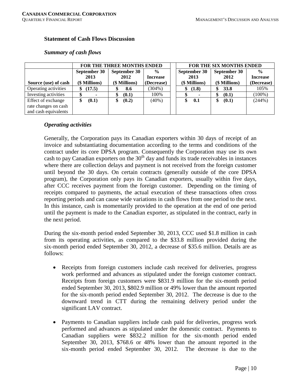## **Statement of Cash Flows Discussion**

|                      | <b>FOR THE THREE MONTHS ENDED</b> |               |                 |  | <b>FOR THE SIX MONTHS ENDED</b> |               |                 |  |  |  |
|----------------------|-----------------------------------|---------------|-----------------|--|---------------------------------|---------------|-----------------|--|--|--|
|                      | September 30                      | September 30  | $\frac{6}{9}$   |  | September 30                    | September 30  | $\frac{0}{0}$   |  |  |  |
|                      | 2013                              | 2012          | <b>Increase</b> |  | 2013                            | 2012          | <b>Increase</b> |  |  |  |
| Source (use) of cash | (\$ Millions)                     | (\$ Millions) | (Decrease)      |  | (\$ Millions)                   | (\$ Millions) | (Decrease)      |  |  |  |
| Operating activities | (17.5)                            | 8.6           | $(304\%)$       |  | (1.8)<br>\$                     | <b>33.8</b>   | 105%            |  |  |  |
| Investing activities |                                   | (0.1)         | 100%            |  | ۰<br>D                          | (0.1)         | $(100\%)$       |  |  |  |
| Effect of exchange   | (0.1)<br>\$                       | (0.2)         | (40%)           |  | 0.1<br>\$                       | (0.1)         | (244%)          |  |  |  |
| rate changes on cash |                                   |               |                 |  |                                 |               |                 |  |  |  |
| and cash equivalents |                                   |               |                 |  |                                 |               |                 |  |  |  |

#### *Summary of cash flows*

# *Operating activities*

Generally, the Corporation pays its Canadian exporters within 30 days of receipt of an invoice and substantiating documentation according to the terms and conditions of the contract under its core DPSA program. Consequently the Corporation may use its own cash to pay Canadian exporters on the  $30<sup>th</sup>$  day and funds its trade receivables in instances where there are collection delays and payment is not received from the foreign customer until beyond the 30 days. On certain contracts (generally outside of the core DPSA program), the Corporation only pays its Canadian exporters, usually within five days, after CCC receives payment from the foreign customer. Depending on the timing of receipts compared to payments, the actual execution of these transactions often cross reporting periods and can cause wide variations in cash flows from one period to the next. In this instance, cash is momentarily provided to the operation at the end of one period until the payment is made to the Canadian exporter, as stipulated in the contract, early in the next period.

During the six-month period ended September 30, 2013, CCC used \$1.8 million in cash from its operating activities, as compared to the \$33.8 million provided during the six-month period ended September 30, 2012, a decrease of \$35.6 million. Details are as follows:

- Receipts from foreign customers include cash received for deliveries, progress work performed and advances as stipulated under the foreign customer contract. Receipts from foreign customers were \$831.9 million for the six-month period ended September 30, 2013, \$802.9 million or 49% lower than the amount reported for the six-month period ended September 30, 2012. The decrease is due to the downward trend in CTT during the remaining delivery period under the significant LAV contract.
- Payments to Canadian suppliers include cash paid for deliveries, progress work performed and advances as stipulated under the domestic contract. Payments to Canadian suppliers were \$832.2 million for the six-month period ended September 30, 2013, \$768.6 or 48% lower than the amount reported in the six-month period ended September 30, 2012. The decrease is due to the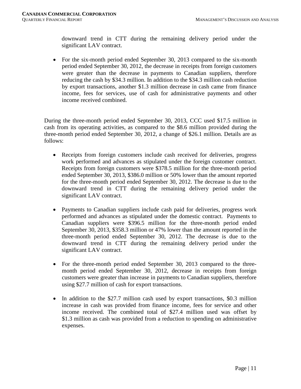downward trend in CTT during the remaining delivery period under the significant LAV contract.

• For the six-month period ended September 30, 2013 compared to the six-month period ended September 30, 2012, the decrease in receipts from foreign customers were greater than the decrease in payments to Canadian suppliers, therefore reducing the cash by \$34.3 million. In addition to the \$34.3 million cash reduction by export transactions, another \$1.3 million decrease in cash came from finance income, fees for services, use of cash for administrative payments and other income received combined.

During the three-month period ended September 30, 2013, CCC used \$17.5 million in cash from its operating activities, as compared to the \$8.6 million provided during the three-month period ended September 30, 2012, a change of \$26.1 million. Details are as follows:

- Receipts from foreign customers include cash received for deliveries, progress work performed and advances as stipulated under the foreign customer contract. Receipts from foreign customers were \$378.5 million for the three-month period ended September 30, 2013, \$386.0 million or 50% lower than the amount reported for the three-month period ended September 30, 2012. The decrease is due to the downward trend in CTT during the remaining delivery period under the significant LAV contract.
- Payments to Canadian suppliers include cash paid for deliveries, progress work performed and advances as stipulated under the domestic contract. Payments to Canadian suppliers were \$396.5 million for the three-month period ended September 30, 2013, \$358.3 million or 47% lower than the amount reported in the three-month period ended September 30, 2012. The decrease is due to the downward trend in CTT during the remaining delivery period under the significant LAV contract.
- For the three-month period ended September 30, 2013 compared to the threemonth period ended September 30, 2012, decrease in receipts from foreign customers were greater than increase in payments to Canadian suppliers, therefore using \$27.7 million of cash for export transactions.
- In addition to the \$27.7 million cash used by export transactions, \$0.3 million increase in cash was provided from finance income, fees for service and other income received. The combined total of \$27.4 million used was offset by \$1.3 million as cash was provided from a reduction to spending on administrative expenses.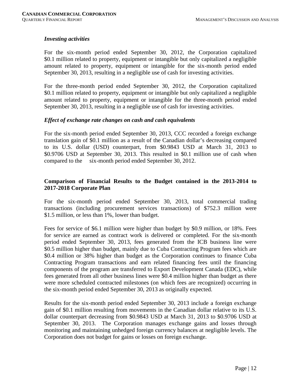# *Investing activities*

For the six-month period ended September 30, 2012, the Corporation capitalized \$0.1 million related to property, equipment or intangible but only capitalized a negligible amount related to property, equipment or intangible for the six-month period ended September 30, 2013, resulting in a negligible use of cash for investing activities.

For the three-month period ended September 30, 2012, the Corporation capitalized \$0.1 million related to property, equipment or intangible but only capitalized a negligible amount related to property, equipment or intangible for the three-month period ended September 30, 2013, resulting in a negligible use of cash for investing activities.

#### *Effect of exchange rate changes on cash and cash equivalents*

For the six-month period ended September 30, 2013, CCC recorded a foreign exchange translation gain of \$0.1 million as a result of the Canadian dollar's decreasing compared to its U.S. dollar (USD) counterpart, from \$0.9843 USD at March 31, 2013 to \$0.9706 USD at September 30, 2013. This resulted in \$0.1 million use of cash when compared to the six-month period ended September 30, 2012.

# **Comparison of Financial Results to the Budget contained in the 2013-2014 to 2017-2018 Corporate Plan**

For the six-month period ended September 30, 2013, total commercial trading transactions (including procurement services transactions) of \$752.3 million were \$1.5 million, or less than 1%, lower than budget.

Fees for service of \$6.1 million were higher than budget by \$0.9 million, or 18%. Fees for service are earned as contract work is delivered or completed. For the six-month period ended September 30, 2013, fees generated from the ICB business line were \$0.5 million higher than budget, mainly due to Cuba Contracting Program fees which are \$0.4 million or 38% higher than budget as the Corporation continues to finance Cuba Contracting Program transactions and earn related financing fees until the financing components of the program are transferred to Export Development Canada (EDC), while fees generated from all other business lines were \$0.4 million higher than budget as there were more scheduled contracted milestones (on which fees are recognized) occurring in the six-month period ended September 30, 2013 as originally expected.

Results for the six-month period ended September 30, 2013 include a foreign exchange gain of \$0.1 million resulting from movements in the Canadian dollar relative to its U.S. dollar counterpart decreasing from \$0.9843 USD at March 31, 2013 to \$0.9706 USD at September 30, 2013. The Corporation manages exchange gains and losses through monitoring and maintaining unhedged foreign currency balances at negligible levels. The Corporation does not budget for gains or losses on foreign exchange.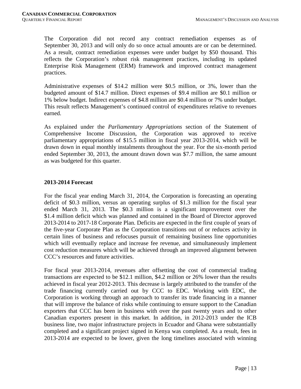The Corporation did not record any contract remediation expenses as of September 30, 2013 and will only do so once actual amounts are or can be determined. As a result, contract remediation expenses were under budget by \$50 thousand. This reflects the Corporation's robust risk management practices, including its updated Enterprise Risk Management (ERM) framework and improved contract management practices.

Administrative expenses of \$14.2 million were \$0.5 million, or 3%, lower than the budgeted amount of \$14.7 million. Direct expenses of \$9.4 million are \$0.1 million or 1% below budget. Indirect expenses of \$4.8 million are \$0.4 million or 7% under budget. This result reflects Management's continued control of expenditures relative to revenues earned.

As explained under the *Parliamentary Appropriations* section of the Statement of Comprehensive Income Discussion, the Corporation was approved to receive parliamentary appropriations of \$15.5 million in fiscal year 2013-2014, which will be drawn down in equal monthly instalments throughout the year. For the six-month period ended September 30, 2013, the amount drawn down was \$7.7 million, the same amount as was budgeted for this quarter.

# **2013-2014 Forecast**

For the fiscal year ending March 31, 2014, the Corporation is forecasting an operating deficit of \$0.3 million, versus an operating surplus of \$1.3 million for the fiscal year ended March 31, 2013. The \$0.3 million is a significant improvement over the \$1.4 million deficit which was planned and contained in the Board of Director approved 2013-2014 to 2017-18 Corporate Plan. Deficits are expected in the first couple of years of the five-year Corporate Plan as the Corporation transitions out of or reduces activity in certain lines of business and refocuses pursuit of remaining business line opportunities which will eventually replace and increase fee revenue, and simultaneously implement cost reduction measures which will be achieved through an improved alignment between CCC's resources and future activities.

For fiscal year 2013-2014, revenues after offsetting the cost of commercial trading transactions are expected to be \$12.1 million, \$4.2 million or 26% lower than the results achieved in fiscal year 2012-2013. This decrease is largely attributed to the transfer of the trade financing currently carried out by CCC to EDC. Working with EDC, the Corporation is working through an approach to transfer its trade financing in a manner that will improve the balance of risks while continuing to ensure support to the Canadian exporters that CCC has been in business with over the past twenty years and to other Canadian exporters present in this market. In addition, in 2012-2013 under the ICB business line, two major infrastructure projects in Ecuador and Ghana were substantially completed and a significant project signed in Kenya was completed. As a result, fees in 2013-2014 are expected to be lower, given the long timelines associated with winning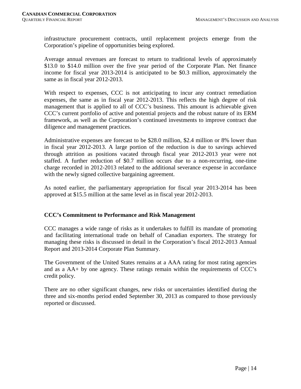infrastructure procurement contracts, until replacement projects emerge from the Corporation's pipeline of opportunities being explored.

Average annual revenues are forecast to return to traditional levels of approximately \$13.0 to \$14.0 million over the five year period of the Corporate Plan. Net finance income for fiscal year 2013-2014 is anticipated to be \$0.3 million, approximately the same as in fiscal year 2012-2013.

With respect to expenses, CCC is not anticipating to incur any contract remediation expenses, the same as in fiscal year 2012-2013. This reflects the high degree of risk management that is applied to all of CCC's business. This amount is achievable given CCC's current portfolio of active and potential projects and the robust nature of its ERM framework, as well as the Corporation's continued investments to improve contract due diligence and management practices.

Administrative expenses are forecast to be \$28.0 million, \$2.4 million or 8% lower than in fiscal year 2012-2013. A large portion of the reduction is due to savings achieved through attrition as positions vacated through fiscal year 2012-2013 year were not staffed. A further reduction of \$0.7 million occurs due to a non-recurring, one-time charge recorded in 2012-2013 related to the additional severance expense in accordance with the newly signed collective bargaining agreement.

As noted earlier, the parliamentary appropriation for fiscal year 2013-2014 has been approved at \$15.5 million at the same level as in fiscal year 2012-2013.

# **CCC's Commitment to Performance and Risk Management**

CCC manages a wide range of risks as it undertakes to fulfill its mandate of promoting and facilitating international trade on behalf of Canadian exporters. The strategy for managing these risks is discussed in detail in the Corporation's fiscal 2012-2013 Annual Report and 2013-2014 Corporate Plan Summary.

The Government of the United States remains at a AAA rating for most rating agencies and as a AA+ by one agency. These ratings remain within the requirements of CCC's credit policy.

There are no other significant changes, new risks or uncertainties identified during the three and six-months period ended September 30, 2013 as compared to those previously reported or discussed.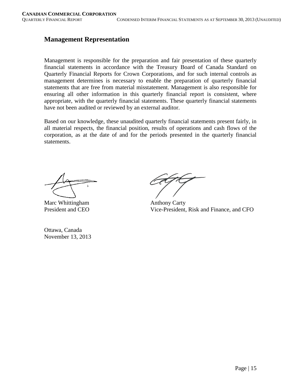# **Management Representation**

Management is responsible for the preparation and fair presentation of these quarterly financial statements in accordance with the Treasury Board of Canada Standard on Quarterly Financial Reports for Crown Corporations, and for such internal controls as management determines is necessary to enable the preparation of quarterly financial statements that are free from material misstatement. Management is also responsible for ensuring all other information in this quarterly financial report is consistent, where appropriate, with the quarterly financial statements. These quarterly financial statements have not been audited or reviewed by an external auditor.

Based on our knowledge, these unaudited quarterly financial statements present fairly, in all material respects, the financial position, results of operations and cash flows of the corporation, as at the date of and for the periods presented in the quarterly financial statements.

Marc Whittingham Anthony Carty

Ottawa, Canada November 13, 2013

President and CEO Vice-President, Risk and Finance, and CFO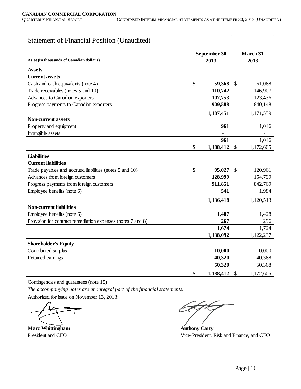# Statement of Financial Position (Unaudited)

|                                                             |    | September 30<br>2013 |      |           |  |  |
|-------------------------------------------------------------|----|----------------------|------|-----------|--|--|
| As at (in thousands of Canadian dollars)                    |    |                      | 2013 |           |  |  |
| <b>Assets</b>                                               |    |                      |      |           |  |  |
| <b>Current assets</b>                                       |    |                      |      |           |  |  |
| Cash and cash equivalents (note 4)                          | \$ | 59,368               | \$   | 61,068    |  |  |
| Trade receivables (notes 5 and 10)                          |    | 110,742              |      | 146,907   |  |  |
| Advances to Canadian exporters                              |    | 107,753              |      | 123,436   |  |  |
| Progress payments to Canadian exporters                     |    | 909,588              |      | 840,148   |  |  |
|                                                             |    | 1,187,451            |      | 1,171,559 |  |  |
| <b>Non-current assets</b>                                   |    |                      |      |           |  |  |
| Property and equipment                                      |    | 961                  |      | 1,046     |  |  |
| Intangible assets                                           |    |                      |      |           |  |  |
|                                                             |    | 961                  |      | 1,046     |  |  |
|                                                             | \$ | 1,188,412            | \$   | 1,172,605 |  |  |
| <b>Liabilities</b>                                          |    |                      |      |           |  |  |
| <b>Current liabilities</b>                                  |    |                      |      |           |  |  |
| Trade payables and accrued liabilities (notes 5 and 10)     | \$ | 95,027               | S    | 120,961   |  |  |
| Advances from foreign customers                             |    | 128,999              |      | 154,799   |  |  |
| Progress payments from foreign customers                    |    | 911,851              |      | 842,769   |  |  |
| Employee benefits (note 6)                                  |    | 541                  |      | 1,984     |  |  |
|                                                             |    | 1,136,418            |      | 1,120,513 |  |  |
| <b>Non-current liabilities</b>                              |    |                      |      |           |  |  |
| Employee benefits (note 6)                                  |    | 1,407                |      | 1,428     |  |  |
| Provision for contract remediation expenses (notes 7 and 8) |    | 267                  |      | 296       |  |  |
|                                                             |    | 1,674                |      | 1,724     |  |  |
|                                                             |    | 1,138,092            |      | 1,122,237 |  |  |
| <b>Shareholder's Equity</b>                                 |    |                      |      |           |  |  |
| Contributed surplus                                         |    | 10,000               |      | 10,000    |  |  |
| Retained earnings                                           |    | 40,320               |      | 40,368    |  |  |
|                                                             |    | 50,320               |      | 50,368    |  |  |
|                                                             | \$ | 1,188,412            | \$   | 1,172,605 |  |  |

Contingencies and guarantees (note 15)

*The accompanying notes are an integral part of the financial statements.*

Authorized for issue on November 13, 2013:

 $\Delta$ 

**Marc Whittingham Anthony Carty** President and CEO Vice-President, Risk and Finance, and CFO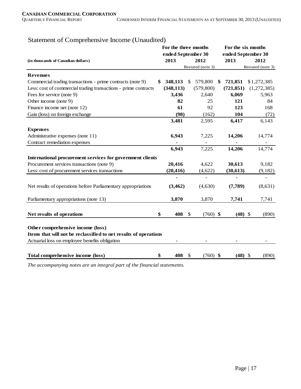| $\alpha$ comprehensive media (character                          |                    | For the three months |              |                   |                    | For the six months |  |                   |  |  |
|------------------------------------------------------------------|--------------------|----------------------|--------------|-------------------|--------------------|--------------------|--|-------------------|--|--|
|                                                                  |                    |                      |              |                   |                    |                    |  |                   |  |  |
|                                                                  | ended September 30 |                      |              |                   | ended September 30 |                    |  |                   |  |  |
| (in thousands of Canadian dollars)                               |                    | 2013                 |              | 2012              |                    | 2013               |  | 2012              |  |  |
|                                                                  |                    |                      |              | Restated (note 3) |                    |                    |  | Restated (note 3) |  |  |
| <b>Revenues</b>                                                  |                    |                      |              |                   |                    |                    |  |                   |  |  |
| Commercial trading transactions - prime contracts (note 9)       | \$                 | 348,113              | \$           | 579,800           | \$                 | 721,851            |  | \$1,272,385       |  |  |
| Less: cost of commercial trading transactions - prime contracts  |                    | (348, 113)           |              | (579, 800)        |                    | (721, 851)         |  | (1,272,385)       |  |  |
| Fees for service (note 9)                                        |                    | 3,436                |              | 2,640             |                    | 6,069              |  | 5,963             |  |  |
| Other income (note 9)                                            |                    | 82                   |              | 25                |                    | 121                |  | 84                |  |  |
| Finance income net (note 12)                                     |                    | 61                   |              | 92                |                    | 123                |  | 168               |  |  |
| Gain (loss) on foreign exchange                                  |                    | (98)                 |              | (162)             |                    | 104                |  | (72)              |  |  |
|                                                                  |                    | 3,481                |              | 2,595             |                    | 6,417              |  | 6,143             |  |  |
| <b>Expenses</b>                                                  |                    |                      |              |                   |                    |                    |  |                   |  |  |
| Administrative expenses (note 11)                                |                    | 6,943                |              | 7,225             |                    | 14,206             |  | 14,774            |  |  |
| Contract remediation expenses                                    |                    |                      |              |                   |                    |                    |  |                   |  |  |
|                                                                  |                    | 6,943                |              | 7,225             |                    | 14,206             |  | 14,774            |  |  |
| International procurement services for government clients        |                    |                      |              |                   |                    |                    |  |                   |  |  |
| Procurement services transactions (note 9)                       |                    | 20,416               |              | 4,622             |                    | 30,613             |  | 9,182             |  |  |
| Less: cost of procurement services transactions                  |                    | (20, 416)            |              | (4,622)           |                    | (30, 613)          |  | (9,182)           |  |  |
|                                                                  |                    |                      |              |                   |                    |                    |  |                   |  |  |
| Net results of operations before Parliamentary appropriations    |                    | (3,462)              |              | (4,630)           |                    | (7,789)            |  | (8,631)           |  |  |
| Parliamentary appropriations (note 13)                           |                    | 3,870                |              | 3,870             |                    | 7,741              |  | 7,741             |  |  |
|                                                                  |                    |                      |              |                   |                    |                    |  |                   |  |  |
| Net results of operations                                        | \$                 | 408                  | $\mathbb{S}$ | $(760)$ \$        |                    | $(48)$ \$          |  | (890)             |  |  |
| Other comprehensive income (loss)                                |                    |                      |              |                   |                    |                    |  |                   |  |  |
| Items that will not be reclassified to net results of operations |                    |                      |              |                   |                    |                    |  |                   |  |  |
| Actuarial loss on employee benefits obligation                   |                    |                      |              |                   |                    |                    |  |                   |  |  |
|                                                                  |                    |                      |              |                   |                    |                    |  |                   |  |  |
| Total comprehensive income (loss)                                | \$                 | 408                  | \$           | $(760)$ \$        |                    | $(48)$ \$          |  | (890)             |  |  |

# Statement of Comprehensive Income (Unaudited)

*The accompanying notes are an integral part of the financial statements.*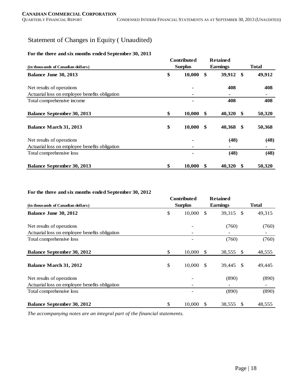# Statement of Changes in Equity ( Unaudited)

#### **For the three and six months ended September 30, 2013**

| (in thousands of Canadian dollars)             | <b>Contributed</b><br><b>Surplus</b> |        |               | <b>Retained</b><br><b>Earnings</b> |               | <b>Total</b> |  |
|------------------------------------------------|--------------------------------------|--------|---------------|------------------------------------|---------------|--------------|--|
| Balance June 30, 2013                          | \$                                   | 10,000 | \$            | 39,912                             | -\$           | 49,912       |  |
| Net results of operations                      |                                      |        |               | 408                                |               | 408          |  |
| Actuarial loss on employee benefits obligation |                                      |        |               |                                    |               |              |  |
| Total comprehensive income                     |                                      |        |               | 408                                |               | 408          |  |
| <b>Balance September 30, 2013</b>              | \$                                   | 10,000 | $\mathbf{\$}$ | 40,320                             | $\mathbf{\$}$ | 50,320       |  |
| <b>Balance March 31, 2013</b>                  | \$                                   | 10,000 | \$            | 40,368                             | S.            | 50,368       |  |
| Net results of operations                      |                                      |        |               | (48)                               |               | (48)         |  |
| Actuarial loss on employee benefits obligation |                                      |        |               |                                    |               |              |  |
| Total comprehensive loss                       |                                      |        |               | (48)                               |               | (48)         |  |
| <b>Balance September 30, 2013</b>              | \$                                   | 10,000 | -\$           | 40,320                             | - \$          | 50,320       |  |

#### **For the three and six months ended September 30, 2012**

|                                                |              | <b>Contributed</b> |               | <b>Retained</b>        |              |
|------------------------------------------------|--------------|--------------------|---------------|------------------------|--------------|
| (in thousands of Canadian dollars)             |              | <b>Surplus</b>     |               | <b>Earnings</b>        | <b>Total</b> |
| Balance June 30, 2012                          | \$           | 10,000             | <sup>\$</sup> | 39,315<br>- \$         | 49,315       |
| Net results of operations                      |              |                    |               | (760)                  | (760)        |
| Actuarial loss on employee benefits obligation |              |                    |               |                        |              |
| Total comprehensive loss                       |              |                    |               | (760)                  | (760)        |
| <b>Balance September 30, 2012</b>              | \$           | 10,000             | -S            | 38,555<br>-S           | 48,555       |
| <b>Balance March 31, 2012</b>                  | $\mathbb{S}$ | 10,000             | -S            | 39,445<br>-S           | 49,445       |
| Net results of operations                      |              |                    |               | (890)                  | (890)        |
| Actuarial loss on employee benefits obligation |              |                    |               |                        |              |
| Total comprehensive loss                       |              |                    |               | (890)                  | (890)        |
| <b>Balance September 30, 2012</b>              | \$           | 10,000             | -S            | 38,555<br><sup>S</sup> | 48,555       |

*The accompanying notes are an integral part of the financial statements.*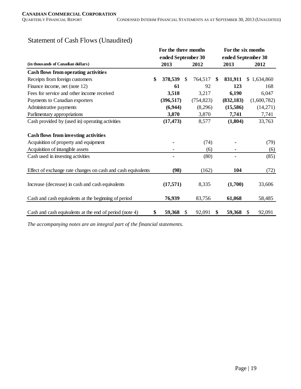|                                                              | For the three months |      |            |                    | For the six months |              |             |  |
|--------------------------------------------------------------|----------------------|------|------------|--------------------|--------------------|--------------|-------------|--|
|                                                              | ended September 30   |      |            | ended September 30 |                    |              |             |  |
| (in thousands of Canadian dollars)                           | 2013                 | 2012 |            | 2013               |                    |              | 2012        |  |
| Cash flows from operating activities                         |                      |      |            |                    |                    |              |             |  |
| Receipts from foreign customers                              | \$<br>378,539        | \$   | 764,517    | \$                 | 831,911            |              | \$1,634,860 |  |
| Finance income, net (note 12)                                | 61                   |      | 92         |                    | 123                |              | 168         |  |
| Fees for service and other income received                   | 3,518                |      | 3,217      |                    | 6,190              |              | 6,047       |  |
| Payments to Canadian exporters                               | (396, 517)           |      | (754, 823) |                    | (832, 183)         |              | (1,600,782) |  |
| Administrative payments                                      | (6,944)              |      | (8,296)    |                    | (15,586)           |              | (14,271)    |  |
| Parlimentary appropriations                                  | 3,870                |      | 3,870      |                    | 7,741              |              | 7,741       |  |
| Cash provided by (used in) operating activities              | (17, 473)            |      | 8,577      |                    | (1,804)            |              | 33,763      |  |
|                                                              |                      |      |            |                    |                    |              |             |  |
| <b>Cash flows from investing activities</b>                  |                      |      |            |                    |                    |              |             |  |
| Acquisition of property and equipment                        |                      |      | (74)       |                    |                    |              | (79)        |  |
| Acquisition of intangible assets                             |                      |      | (6)        |                    |                    |              | (6)         |  |
| Cash used in investing activities                            |                      |      | (80)       |                    | $\blacksquare$     |              | (85)        |  |
|                                                              |                      |      |            |                    |                    |              |             |  |
| Effect of exchange rate changes on cash and cash equivalents | (98)                 |      | (162)      |                    | 104                |              | (72)        |  |
|                                                              |                      |      |            |                    |                    |              |             |  |
| Increase (decrease) in cash and cash equivalents             | (17,571)             |      | 8,335      |                    | (1,700)            |              | 33,606      |  |
|                                                              |                      |      |            |                    |                    |              |             |  |
| Cash and cash equivalents at the beginning of period         | 76,939               |      | 83,756     |                    | 61,068             |              | 58,485      |  |
|                                                              |                      |      |            |                    |                    |              |             |  |
| Cash and cash equivalents at the end of period (note 4)      | \$<br>59,368         | \$   | 92,091     | \$                 | 59,368             | $\mathbb{S}$ | 92,091      |  |

# Statement of Cash Flows (Unaudited)

*The accompanying notes are an integral part of the financial statements.*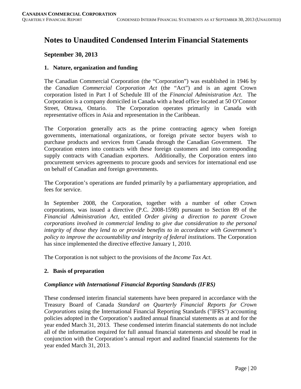# **Notes to Unaudited Condensed Interim Financial Statements**

# **September 30, 2013**

# **1. Nature, organization and funding**

The Canadian Commercial Corporation (the "Corporation") was established in 1946 by the *Canadian Commercial Corporation Act* (the "Act") and is an agent Crown corporation listed in Part I of Schedule III of the *Financial Administration Act*. The Corporation is a company domiciled in Canada with a head office located at 50 O'Connor Street, Ottawa, Ontario. The Corporation operates primarily in Canada with representative offices in Asia and representation in the Caribbean.

The Corporation generally acts as the prime contracting agency when foreign governments, international organizations, or foreign private sector buyers wish to purchase products and services from Canada through the Canadian Government. The Corporation enters into contracts with these foreign customers and into corresponding supply contracts with Canadian exporters. Additionally, the Corporation enters into procurement services agreements to procure goods and services for international end use on behalf of Canadian and foreign governments.

The Corporation's operations are funded primarily by a parliamentary appropriation, and fees for service.

In September 2008, the Corporation, together with a number of other Crown corporations, was issued a directive (P.C. 2008-1598) pursuant to Section 89 of the *Financial Administration Act*, entitled *Order giving a direction to parent Crown corporations involved in commercial lending to give due consideration to the personal integrity of those they lend to or provide benefits to in accordance with Government's policy to improve the accountability and integrity of federal institutions*. The Corporation has since implemented the directive effective January 1, 2010.

The Corporation is not subject to the provisions of the *Income Tax Act*.

# **2. Basis of preparation**

# *Compliance with International Financial Reporting Standards (IFRS)*

These condensed interim financial statements have been prepared in accordance with the Treasury Board of Canada *Standard on Quarterly Financial Reports for Crown Corporations* using the International Financial Reporting Standards ("IFRS") accounting policies adopted in the Corporation's audited annual financial statements as at and for the year ended March 31, 2013. These condensed interim financial statements do not include all of the information required for full annual financial statements and should be read in conjunction with the Corporation's annual report and audited financial statements for the year ended March 31, 2013.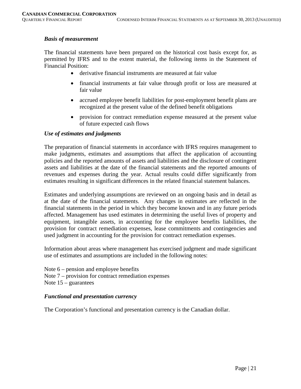#### *Basis of measurement*

The financial statements have been prepared on the historical cost basis except for, as permitted by IFRS and to the extent material, the following items in the Statement of Financial Position:

- derivative financial instruments are measured at fair value
- financial instruments at fair value through profit or loss are measured at fair value
- accrued employee benefit liabilities for post-employment benefit plans are recognized at the present value of the defined benefit obligations
- provision for contract remediation expense measured at the present value of future expected cash flows

# *Use of estimates and judgments*

The preparation of financial statements in accordance with IFRS requires management to make judgments, estimates and assumptions that affect the application of accounting policies and the reported amounts of assets and liabilities and the disclosure of contingent assets and liabilities at the date of the financial statements and the reported amounts of revenues and expenses during the year. Actual results could differ significantly from estimates resulting in significant differences in the related financial statement balances.

Estimates and underlying assumptions are reviewed on an ongoing basis and in detail as at the date of the financial statements. Any changes in estimates are reflected in the financial statements in the period in which they become known and in any future periods affected. Management has used estimates in determining the useful lives of property and equipment, intangible assets, in accounting for the employee benefits liabilities, the provision for contract remediation expenses, lease commitments and contingencies and used judgment in accounting for the provision for contract remediation expenses.

Information about areas where management has exercised judgment and made significant use of estimates and assumptions are included in the following notes:

Note  $6$  – pension and employee benefits Note 7 – provision for contract remediation expenses Note 15 – guarantees

#### *Functional and presentation currency*

The Corporation's functional and presentation currency is the Canadian dollar.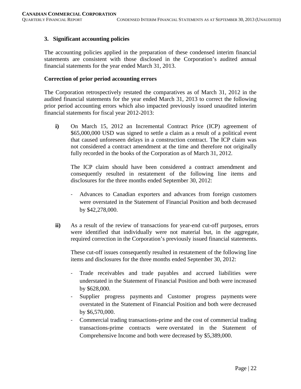# **3. Significant accounting policies**

The accounting policies applied in the preparation of these condensed interim financial statements are consistent with those disclosed in the Corporation's audited annual financial statements for the year ended March 31, 2013.

#### **Correction of prior period accounting errors**

The Corporation retrospectively restated the comparatives as of March 31, 2012 in the audited financial statements for the year ended March 31, 2013 to correct the following prior period accounting errors which also impacted previously issued unaudited interim financial statements for fiscal year 2012-2013:

**i)** On March 15, 2012 an Incremental Contract Price (ICP) agreement of \$65,000,000 USD was signed to settle a claim as a result of a political event that caused unforeseen delays in a construction contract. The ICP claim was not considered a contract amendment at the time and therefore not originally fully recorded in the books of the Corporation as of March 31, 2012.

The ICP claim should have been considered a contract amendment and consequently resulted in restatement of the following line items and disclosures for the three months ended September 30, 2012:

- Advances to Canadian exporters and advances from foreign customers were overstated in the Statement of Financial Position and both decreased by \$42,278,000.
- **ii)** As a result of the review of transactions for year-end cut-off purposes, errors were identified that individually were not material but, in the aggregate, required correction in the Corporation's previously issued financial statements.

These cut-off issues consequently resulted in restatement of the following line items and disclosures for the three months ended September 30, 2012:

- Trade receivables and trade payables and accrued liabilities were understated in the Statement of Financial Position and both were increased by \$628,000.
- Supplier progress payments and Customer progress payments were overstated in the Statement of Financial Position and both were decreased by \$6,570,000.
- Commercial trading transactions-prime and the cost of commercial trading transactions-prime contracts were overstated in the Statement of Comprehensive Income and both were decreased by \$5,389,000.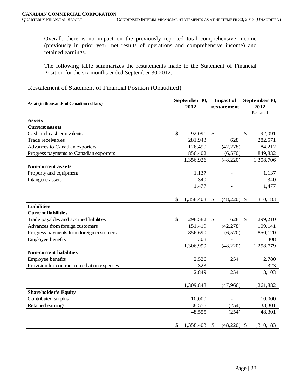Overall, there is no impact on the previously reported total comprehensive income (previously in prior year: net results of operations and comprehensive income) and retained earnings.

The following table summarizes the restatements made to the Statement of Financial Position for the six months ended September 30 2012:

Restatement of Statement of Financial Position (Unaudited)

| As at (in thousands of Canadian dollars)    | September 30,<br>2012 |           | <b>Impact of</b><br>restatement |                | September 30,<br>2012 |           |
|---------------------------------------------|-----------------------|-----------|---------------------------------|----------------|-----------------------|-----------|
|                                             |                       |           |                                 |                |                       | Restated  |
| <b>Assets</b>                               |                       |           |                                 |                |                       |           |
| <b>Current assets</b>                       |                       |           |                                 |                |                       |           |
| Cash and cash equivalents                   | \$                    | 92,091    | \$                              |                | \$                    | 92,091    |
| Trade receivables                           |                       | 281,943   |                                 | 628            |                       | 282,571   |
| Advances to Canadian exporters              |                       | 126,490   |                                 | (42, 278)      |                       | 84,212    |
| Progress payments to Canadian exporters     |                       | 856,402   |                                 | (6,570)        |                       | 849,832   |
|                                             |                       | 1,356,926 |                                 | (48, 220)      |                       | 1,308,706 |
| <b>Non-current assets</b>                   |                       |           |                                 |                |                       |           |
| Property and equipment                      |                       | 1,137     |                                 |                |                       | 1,137     |
| Intangible assets                           |                       | 340       |                                 |                |                       | 340       |
|                                             |                       | 1,477     |                                 |                |                       | 1,477     |
|                                             |                       |           |                                 |                |                       |           |
|                                             | \$                    | 1,358,403 | \$                              | (48,220)       | $\mathcal{S}$         | 1,310,183 |
| <b>Liabilities</b>                          |                       |           |                                 |                |                       |           |
| <b>Current liabilities</b>                  |                       |           |                                 |                |                       |           |
| Trade payables and accrued liabilities      | \$                    | 298,582   | \$                              | 628            | $\mathbb{S}$          | 299,210   |
| Advances from foreign customers             |                       | 151,419   |                                 | (42, 278)      |                       | 109,141   |
| Progress payments from foreign customers    |                       | 856,690   |                                 | (6,570)        |                       | 850,120   |
| Employee benefits                           |                       | 308       |                                 |                |                       | 308       |
|                                             |                       | 1,306,999 |                                 | (48,220)       |                       | 1,258,779 |
| <b>Non-current liabilities</b>              |                       |           |                                 |                |                       |           |
| Employee benefits                           |                       | 2,526     |                                 | 254            |                       | 2,780     |
| Provision for contract remediation expenses |                       | 323       |                                 | $\blacksquare$ |                       | 323       |
|                                             |                       | 2,849     |                                 | 254            |                       | 3,103     |
|                                             |                       |           |                                 |                |                       |           |
|                                             |                       | 1,309,848 |                                 | (47,966)       |                       | 1,261,882 |
| <b>Shareholder's Equity</b>                 |                       |           |                                 |                |                       |           |
| Contributed surplus                         |                       | 10,000    |                                 |                |                       | 10,000    |
| Retained earnings                           |                       | 38,555    |                                 | (254)          |                       | 38,301    |
|                                             |                       | 48,555    |                                 | (254)          |                       | 48,301    |
|                                             |                       |           |                                 |                |                       |           |
|                                             | \$                    | 1,358,403 | \$                              | $(48,220)$ \$  |                       | 1,310,183 |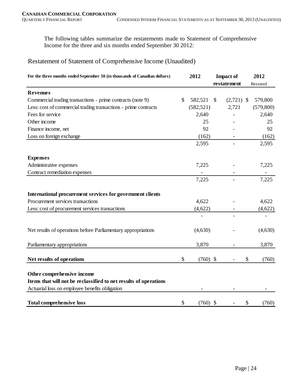The following tables summarize the restatements made to Statement of Comprehensive Income for the three and six months ended September 30 2012:

# Restatement of Statement of Comprehensive Income (Unaudited)

| For the three months ended September 30 (in thousands of Canadian dollars) |               | 2012       | <b>Impact of</b>          |              | 2012        |
|----------------------------------------------------------------------------|---------------|------------|---------------------------|--------------|-------------|
|                                                                            |               |            | restatement               |              | Restated    |
| <b>Revenues</b>                                                            |               |            |                           |              |             |
| Commercial trading transactions - prime contracts (note 9)                 | $\mathcal{S}$ | 582,521    | $\mathbb{S}$              | $(2,721)$ \$ | 579,800     |
| Less: cost of commercial trading transactions - prime contracts            |               | (582, 521) |                           | 2,721        | (579, 800)  |
| Fees for service                                                           |               | 2,640      |                           |              | 2,640       |
| Other income                                                               |               | 25         |                           |              | 25          |
| Finance income, net                                                        |               | 92         |                           |              | 92          |
| Loss on foreign exchange                                                   |               | (162)      |                           |              | (162)       |
|                                                                            |               | 2,595      |                           |              | 2,595       |
| <b>Expenses</b>                                                            |               |            |                           |              |             |
| Administrative expenses                                                    |               | 7,225      |                           |              | 7,225       |
| Contract remediation expenses                                              |               |            |                           |              |             |
|                                                                            |               | 7,225      |                           |              | 7,225       |
| International procurement services for government clients                  |               |            |                           |              |             |
| Procurement services transactions                                          |               | 4,622      |                           |              | 4,622       |
| Less: cost of procurement services transactions                            |               | (4,622)    |                           |              | (4,622)     |
|                                                                            |               |            |                           |              |             |
| Net results of operations before Parliamentary appropriations              |               | (4,630)    |                           |              | (4,630)     |
| Parliamentary appropriations                                               |               | 3,870      |                           |              | 3,870       |
| Net results of operations                                                  | \$            | $(760)$ \$ |                           |              | \$<br>(760) |
| Other comprehensive income                                                 |               |            |                           |              |             |
| Items that will not be reclassified to net results of operations           |               |            |                           |              |             |
| Actuarial loss on employee benefits obligation                             |               |            |                           |              |             |
| <b>Total comprehensive loss</b>                                            | \$            | (760)      | $\boldsymbol{\mathsf{S}}$ |              | \$<br>(760) |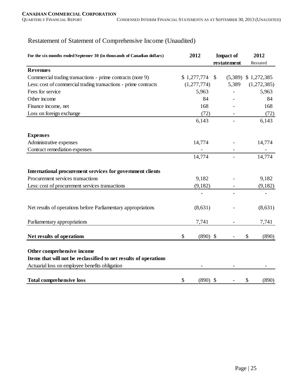# Restatement of Statement of Comprehensive Income (Unaudited)

| For the six months ended Septemer 30 (in thousands of Canadian dollars)                                                                          | 2012             | <b>Impact of</b>         | 2012                   |
|--------------------------------------------------------------------------------------------------------------------------------------------------|------------------|--------------------------|------------------------|
| <b>Revenues</b>                                                                                                                                  |                  | restatement              | Restated               |
| Commercial trading transactions - prime contracts (note 9)                                                                                       | \$1,277,774      | $\mathbb{S}$             | $(5,389)$ \$ 1,272,385 |
| Less: cost of commercial trading transactions - prime contracts                                                                                  | (1,277,774)      | 5,389                    | (1,272,385)            |
| Fees for service                                                                                                                                 | 5,963            |                          | 5,963                  |
| Other income                                                                                                                                     | 84               |                          | 84                     |
| Finance income, net                                                                                                                              | 168              |                          | 168                    |
| Loss on foreign exchange                                                                                                                         | (72)             |                          | (72)                   |
|                                                                                                                                                  | 6,143            | $\overline{\phantom{0}}$ | 6,143                  |
| <b>Expenses</b>                                                                                                                                  |                  |                          |                        |
| Administrative expenses                                                                                                                          | 14,774           |                          | 14,774                 |
| Contract remediation expenses                                                                                                                    |                  |                          |                        |
|                                                                                                                                                  | 14,774           |                          | 14,774                 |
| International procurement services for government clients                                                                                        |                  |                          |                        |
| Procurement services transactions                                                                                                                | 9,182            |                          | 9,182                  |
| Less: cost of procurement services transactions                                                                                                  | (9,182)          |                          | (9,182)                |
|                                                                                                                                                  |                  |                          |                        |
| Net results of operations before Parliamentary appropriations                                                                                    | (8,631)          |                          | (8,631)                |
| Parliamentary appropriations                                                                                                                     | 7,741            |                          | 7,741                  |
| Net results of operations                                                                                                                        | \$<br>$(890)$ \$ |                          | \$<br>(890)            |
| Other comprehensive income<br>Items that will not be reclassified to net results of operations<br>Actuarial loss on employee benefits obligation |                  |                          |                        |
| <b>Total comprehensive loss</b>                                                                                                                  | \$<br>$(890)$ \$ |                          | \$<br>(890)            |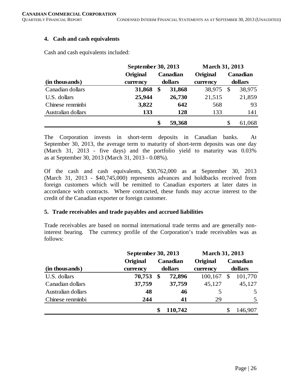## **4. Cash and cash equivalents**

Cash and cash equivalents included:

|                    | September 30, 2013   |                           |          | <b>March 31, 2013</b> |          |        |
|--------------------|----------------------|---------------------------|----------|-----------------------|----------|--------|
|                    | Original<br>Canadian |                           | Original |                       | Canadian |        |
| (in thousands)     | currency             |                           | dollars  | currency              | dollars  |        |
| Canadian dollars   | 31,868               | $\boldsymbol{\mathsf{s}}$ | 31,868   | 38,975                | -S       | 38,975 |
| U.S. dollars       | 25,944               |                           | 26,730   | 21,515                |          | 21,859 |
| Chinese renminbi   | 3,822                |                           | 642      | 568                   |          | 93     |
| Australian dollars | 133                  |                           | 128      | 133                   |          | 141    |
|                    |                      | \$                        | 59,368   |                       | \$       | 61,068 |

The Corporation invests in short-term deposits in Canadian banks. At September 30, 2013, the average term to maturity of short-term deposits was one day (March 31, 2013 - five days) and the portfolio yield to maturity was 0.03% as at September 30, 2013 (March 31, 2013 - 0.08%).

Of the cash and cash equivalents, \$30,762,000 as at September 30, 2013 (March 31, 2013 - \$40,745,000) represents advances and holdbacks received from foreign customers which will be remitted to Canadian exporters at later dates in accordance with contracts. Where contracted, these funds may accrue interest to the credit of the Canadian exporter or foreign customer.

#### **5. Trade receivables and trade payables and accrued liabilities**

Trade receivables are based on normal international trade terms and are generally noninterest bearing. The currency profile of the Corporation's trade receivables was as follows:

|                    |                      | September 30, 2013 |          |          | <b>March 31, 2013</b> |         |  |  |
|--------------------|----------------------|--------------------|----------|----------|-----------------------|---------|--|--|
|                    | Canadian<br>Original |                    | Original |          | Canadian              |         |  |  |
| (in thousands)     | currency             | dollars            |          | currency |                       | dollars |  |  |
| U.S. dollars       | 70,753               | \$                 | 72,896   | 100,167  | \$                    | 101,770 |  |  |
| Canadian dollars   | 37,759               |                    | 37,759   | 45,127   |                       | 45,127  |  |  |
| Australian dollars | 48                   |                    | 46       |          |                       |         |  |  |
| Chinese renminbi   | 244                  |                    | 41       | 29       |                       |         |  |  |
|                    |                      |                    | 110,742  |          |                       | 146,907 |  |  |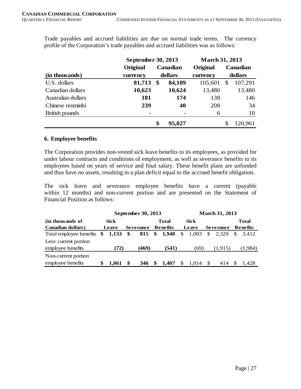Trade payables and accrued liabilities are due on normal trade terms. The currency profile of the Corporation's trade payables and accrued liabilities was as follows:

|                    |          | September 30, 2013 |          |          | <b>March 31, 2013</b> |                 |  |  |
|--------------------|----------|--------------------|----------|----------|-----------------------|-----------------|--|--|
|                    | Original |                    | Canadian | Original |                       | <b>Canadian</b> |  |  |
| (in thousands)     | currency | dollars            |          | currency | dollars               |                 |  |  |
| U.S. dollars       | 81,713   | $\mathbf{\$}$      | 84,189   | 105,601  | \$                    | 107,291         |  |  |
| Canadian dollars   | 10,623   |                    | 10,624   | 13,480   |                       | 13,480          |  |  |
| Australian dollars | 181      |                    | 174      | 138      |                       | 146             |  |  |
| Chinese renminbi   | 239      |                    | 40       | 208      |                       | 34              |  |  |
| British pounds     |          |                    |          | 6        |                       | 10              |  |  |
|                    |          | \$                 | 95,027   |          |                       | 120,961         |  |  |

#### **6. Employee benefits**

The Corporation provides non-vested sick leave benefits to its employees, as provided for under labour contracts and conditions of employment, as well as severance benefits to its employees based on years of service and final salary. These benefit plans are unfunded and thus have no assets, resulting in a plan deficit equal to the accrued benefit obligation.

The sick leave and severance employee benefits have a current (payable within 12 months) and non-current portion and are presented on the Statement of Financial Position as follows:

|                           | September 30, 2013<br><b>March 31, 2013</b> |             |    |                  |    |                 |    |             |    |                  |     |                 |
|---------------------------|---------------------------------------------|-------------|----|------------------|----|-----------------|----|-------------|----|------------------|-----|-----------------|
| (in thousands of          |                                             | <b>Sick</b> |    |                  |    | Total           |    | <b>Sick</b> |    |                  |     | <b>Total</b>    |
| <b>Canadian dollars</b> ) |                                             | Leave       |    | <b>Severance</b> |    | <b>Benefits</b> |    | Leave       |    | <b>Severance</b> |     | <b>Benefits</b> |
| Total employee benefits   | \$                                          | 1.133       | \$ | 815              | \$ | 1,948           | \$ | 1.083       | \$ | 2.329            | \$. | 3.412           |
| Less: current portion     |                                             |             |    |                  |    |                 |    |             |    |                  |     |                 |
| employee benefits         |                                             | (72)        |    | (469)            |    | (541)           |    | (69)        |    | (1,915)          |     | (1,984)         |
| Non-current portion       |                                             |             |    |                  |    |                 |    |             |    |                  |     |                 |
| employee benefits         |                                             | 1.061       |    | 346              |    | 1.407           | S  | 1.014       | -8 | 414              |     | 1.428           |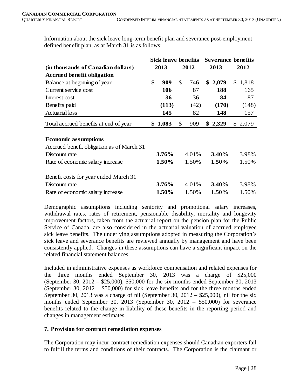Information about the sick leave long-term benefit plan and severance post-employment defined benefit plan, as at March 31 is as follows:

|                                           | <b>Sick leave benefits</b> |          |    |       | <b>Severance benefits</b> |         |                |         |
|-------------------------------------------|----------------------------|----------|----|-------|---------------------------|---------|----------------|---------|
| (in thousands of Canadian dollars)        |                            | 2013     |    | 2012  |                           | 2013    |                | 2012    |
| <b>Accrued benefit obligation</b>         |                            |          |    |       |                           |         |                |         |
| Balance at beginning of year              | \$                         | 909      | \$ | 746   |                           | \$2,079 |                | \$1,818 |
| Current service cost                      |                            | 106      |    | 87    |                           | 188     |                | 165     |
| Interest cost                             |                            | 36       |    | 36    |                           | 84      |                | 87      |
| Benefits paid                             |                            | (113)    |    | (42)  |                           | (170)   |                | (148)   |
| <b>Actuarial loss</b>                     |                            | 145      |    | 82    |                           | 148     |                | 157     |
| Total accrued benefits at end of year     |                            | \$1,083  | \$ | 909   |                           | \$2,329 | $\mathbb{S}^-$ | 2,079   |
|                                           |                            |          |    |       |                           |         |                |         |
| <b>Economic assumptions</b>               |                            |          |    |       |                           |         |                |         |
| Accrued benefit obligation as of March 31 |                            |          |    |       |                           |         |                |         |
| Discount rate                             |                            | $3.76\%$ |    | 4.01% |                           | 3.40%   |                | 3.98%   |
| Rate of economic salary increase          |                            | 1.50%    |    | 1.50% |                           | 1.50%   |                | 1.50%   |
| Benefit costs for year ended March 31     |                            |          |    |       |                           |         |                |         |
| Discount rate                             |                            | 3.76%    |    | 4.01% |                           | 3.40%   |                | 3.98%   |
| Rate of economic salary increase          |                            | 1.50%    |    | 1.50% |                           | 1.50%   |                | 1.50%   |

Demographic assumptions including seniority and promotional salary increases, withdrawal rates, rates of retirement, pensionable disability, mortality and longevity improvement factors, taken from the actuarial report on the pension plan for the Public Service of Canada, are also considered in the actuarial valuation of accrued employee sick leave benefits. The underlying assumptions adopted in measuring the Corporation's sick leave and severance benefits are reviewed annually by management and have been consistently applied. Changes in these assumptions can have a significant impact on the related financial statement balances.

Included in administrative expenses as workforce compensation and related expenses for the three months ended September 30, 2013 was a charge of \$25,000 (September 30, 2012 – \$25,000), \$50,000 for the six months ended September 30, 2013 (September 30, 2012 – \$50,000) for sick leave benefits and for the three months ended September 30, 2013 was a charge of nil (September 30, 2012 – \$25,000), nil for the six months ended September 30, 2013 (September 30, 2012 – \$50,000) for severance benefits related to the change in liability of these benefits in the reporting period and changes in management estimates.

# **7. Provision for contract remediation expenses**

The Corporation may incur contract remediation expenses should Canadian exporters fail to fulfill the terms and conditions of their contracts. The Corporation is the claimant or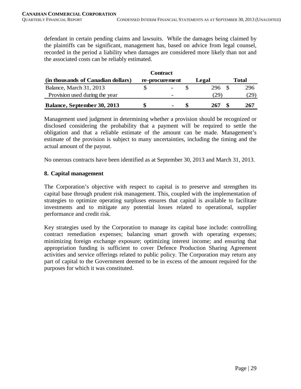defendant in certain pending claims and lawsuits. While the damages being claimed by the plaintiffs can be significant, management has, based on advice from legal counsel, recorded in the period a liability when damages are considered more likely than not and the associated costs can be reliably estimated.

|                                    | Contract       |       |       |
|------------------------------------|----------------|-------|-------|
| (in thousands of Canadian dollars) | re-procurement | Legal | Total |
| Balance, March 31, 2013            |                | 296   | 296   |
| Provision used during the year     |                | .29   | (29)  |
| Balance, September 30, 2013        | -              | 267   | 267   |

Management used judgment in determining whether a provision should be recognized or disclosed considering the probability that a payment will be required to settle the obligation and that a reliable estimate of the amount can be made. Management's estimate of the provision is subject to many uncertainties, including the timing and the actual amount of the payout.

No onerous contracts have been identified as at September 30, 2013 and March 31, 2013.

#### **8. Capital management**

The Corporation's objective with respect to capital is to preserve and strengthen its capital base through prudent risk management. This, coupled with the implementation of strategies to optimize operating surpluses ensures that capital is available to facilitate investments and to mitigate any potential losses related to operational, supplier performance and credit risk.

Key strategies used by the Corporation to manage its capital base include: controlling contract remediation expenses; balancing smart growth with operating expenses; minimizing foreign exchange exposure; optimizing interest income; and ensuring that appropriation funding is sufficient to cover Defence Production Sharing Agreement activities and service offerings related to public policy. The Corporation may return any part of capital to the Government deemed to be in excess of the amount required for the purposes for which it was constituted.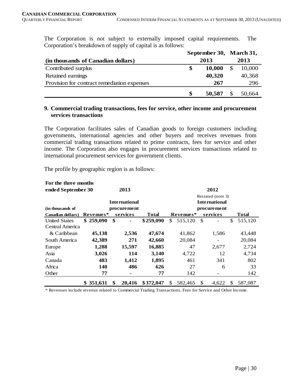The Corporation is not subject to externally imposed capital requirements. The Corporation's breakdown of supply of capital is as follows:

|                                             | September 30, March 31, |        |   |        |  |
|---------------------------------------------|-------------------------|--------|---|--------|--|
| (in thousands of Canadian dollars)          |                         | 2013   |   | 2013   |  |
| Contributed surplus                         | \$                      | 10,000 | S | 10,000 |  |
| Retained earnings                           |                         | 40,320 |   | 40,368 |  |
| Provision for contract remediation expenses |                         | 267    |   | 296    |  |
|                                             | \$                      | 50,587 |   | 50,664 |  |

# **9. Commercial trading transactions, fees for service, other income and procurement services transactions**

The Corporation facilitates sales of Canadian goods to foreign customers including governments, international agencies and other buyers and receives revenues from commercial trading transactions related to prime contracts, fees for service and other income. The Corporation also engages in procurement services transactions related to international procurement services for government clients.

The profile by geographic region is as follows:

| For the three months |            |               |           |                      |           |    |                   |    |              |  |
|----------------------|------------|---------------|-----------|----------------------|-----------|----|-------------------|----|--------------|--|
| ended September 30   |            | 2013          |           | 2012                 |           |    |                   |    |              |  |
|                      |            |               |           |                      |           |    | Restated (note 3) |    |              |  |
|                      |            | International |           | <b>International</b> |           |    |                   |    |              |  |
| (in thousands of     |            | procure me nt |           |                      |           |    | procure ment      |    |              |  |
| Canadian dollars)    | Revenues*  | services      | Total     |                      | Revenues* |    | services          |    | <b>Total</b> |  |
| <b>United States</b> | \$259,090  | \$            | \$259,090 | \$.                  | 515,120   | \$ |                   | \$ | 515,120      |  |
| Central America      |            |               |           |                      |           |    |                   |    |              |  |
| & Caribbean          | 45,138     | 2,536         | 47,674    |                      | 41,862    |    | 1,586             |    | 43,448       |  |
| South America        | 42,389     | 271           | 42,660    |                      | 20,084    |    |                   |    | 20,084       |  |
| Europe               | 1,288      | 15,597        | 16,885    |                      | 47        |    | 2,677             |    | 2,724        |  |
| Asia                 | 3,026      | 114           | 3,140     |                      | 4,722     |    | 12                |    | 4,734        |  |
| Canada               | 483        | 1,412         | 1,895     |                      | 461       |    | 341               |    | 802          |  |
| Africa               | <b>140</b> | 486           | 626       |                      | 27        |    | 6                 |    | 33           |  |
| Other                | 77         | ۰             | 77        |                      | 142       |    |                   |    | 142          |  |
|                      | \$351,631  | \$<br>20,416  | \$372,047 | \$                   | 582,465   | \$ | 4.622             | \$ | 587,087      |  |

\* Revenues include revenue related to Commercial Trading Transactions, Fees for Service and Other Income.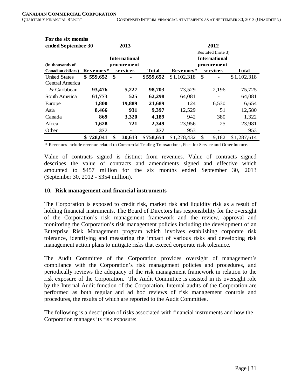**For the six months** 

| FOR the SIX HIOHUIS  |               |      |                      |              |                      |               |                   |              |  |
|----------------------|---------------|------|----------------------|--------------|----------------------|---------------|-------------------|--------------|--|
| ended September 30   |               |      | 2013                 |              |                      |               | 2012              |              |  |
|                      |               |      |                      |              |                      |               | Restated (note 3) |              |  |
|                      |               |      | <b>International</b> |              | <b>International</b> |               |                   |              |  |
| (in thousands of     |               |      | procurement          |              |                      |               | procurement       |              |  |
| Canadian dollars)    | Revenues*     |      | services             | <b>Total</b> | Revenues*            |               | services          | <b>Total</b> |  |
| <b>United States</b> | \$559,652     | - \$ | -                    | \$559,652    | \$1,102,318          | <sup>\$</sup> |                   | \$1,102,318  |  |
| Central America      |               |      |                      |              |                      |               |                   |              |  |
| & Caribbean          | 93,476        |      | 5,227                | 98,703       | 73,529               |               | 2,196             | 75,725       |  |
| South America        | 61,773        |      | 525                  | 62,298       | 64,081               |               | $\qquad \qquad$   | 64,081       |  |
| Europe               | 1,800         |      | 19,889               | 21,689       | 124                  |               | 6,530             | 6,654        |  |
| Asia                 | 8,466         |      | 931                  | 9,397        | 12,529               |               | 51                | 12,580       |  |
| Canada               | 869           |      | 3,320                | 4,189        | 942                  |               | 380               | 1,322        |  |
| Africa               | 1,628         |      | 721                  | 2,349        | 23,956               |               | 25                | 23,981       |  |
| Other                | 377           |      | ۰                    | 377          | 953                  |               | $\qquad \qquad$   | 953          |  |
|                      | \$<br>728,041 | \$   | 30,613               | \$758,654    | \$1,278,432          | \$.           | 9,182             | \$1,287,614  |  |

\* Revenues include revenue related to Commercial Trading Transactions, Fees for Service and Other Income.

Value of contracts signed is distinct from revenues. Value of contracts signed describes the value of contracts and amendments signed and effective which amounted to \$457 million for the six months ended September 30, 2013 (September 30, 2012 - \$354 million).

#### **10. Risk management and financial instruments**

The Corporation is exposed to credit risk, market risk and liquidity risk as a result of holding financial instruments. The Board of Directors has responsibility for the oversight of the Corporation's risk management framework and the review, approval and monitoring the Corporation's risk management policies including the development of an Enterprise Risk Management program which involves establishing corporate risk tolerance, identifying and measuring the impact of various risks and developing risk management action plans to mitigate risks that exceed corporate risk tolerance.

The Audit Committee of the Corporation provides oversight of management's compliance with the Corporation's risk management policies and procedures, and periodically reviews the adequacy of the risk management framework in relation to the risk exposure of the Corporation. The Audit Committee is assisted in its oversight role by the Internal Audit function of the Corporation. Internal audits of the Corporation are performed as both regular and ad hoc reviews of risk management controls and procedures, the results of which are reported to the Audit Committee.

The following is a description of risks associated with financial instruments and how the Corporation manages its risk exposure: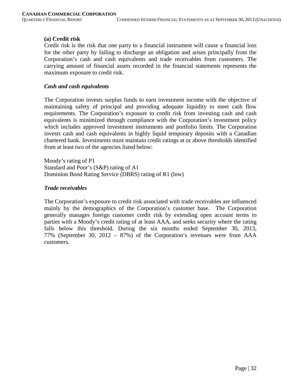# **(a) Credit risk**

Credit risk is the risk that one party to a financial instrument will cause a financial loss for the other party by failing to discharge an obligation and arises principally from the Corporation's cash and cash equivalents and trade receivables from customers. The carrying amount of financial assets recorded in the financial statements represents the maximum exposure to credit risk.

#### *Cash and cash equivalents*

The Corporation invests surplus funds to earn investment income with the objective of maintaining safety of principal and providing adequate liquidity to meet cash flow requirements. The Corporation's exposure to credit risk from investing cash and cash equivalents is minimized through compliance with the Corporation's investment policy which includes approved investment instruments and portfolio limits. The Corporation invests cash and cash equivalents in highly liquid temporary deposits with a Canadian chartered bank. Investments must maintain credit ratings at or above thresholds identified from at least two of the agencies listed below:

Moody's rating of P1 Standard and Poor's (S&P) rating of A1 Dominion Bond Rating Service (DBRS) rating of R1 (low)

# *Trade receivables*

The Corporation's exposure to credit risk associated with trade receivables are influenced mainly by the demographics of the Corporation's customer base. The Corporation generally manages foreign customer credit risk by extending open account terms to parties with a Moody's credit rating of at least AAA, and seeks security where the rating falls below this threshold. During the six months ended September 30, 2013, 77% (September 30, 2012 – 87%) of the Corporation's revenues were from AAA customers.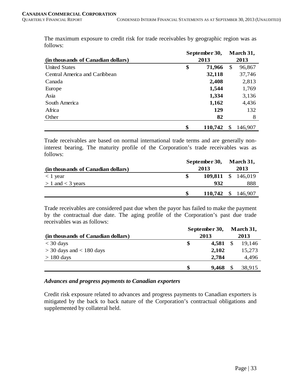The maximum exposure to credit risk for trade receivables by geographic region was as follows: **March 31,** 

|                                    |      | September 30, | March 31, |         |  |  |
|------------------------------------|------|---------------|-----------|---------|--|--|
| (in thousands of Canadian dollars) | 2013 |               |           | 2013    |  |  |
| <b>United States</b>               | \$   | 71,966        | \$        | 96,867  |  |  |
| Central America and Caribbean      |      | 32,118        |           | 37,746  |  |  |
| Canada                             |      | 2,408         |           | 2,813   |  |  |
| Europe                             |      | 1,544         |           | 1,769   |  |  |
| Asia                               |      | 1,334         |           | 3,136   |  |  |
| South America                      |      | 1,162         |           | 4,436   |  |  |
| Africa                             |      | 129           |           | 132     |  |  |
| Other                              |      | 82            |           | 8       |  |  |
|                                    | \$   | 110,742       | S         | 146,907 |  |  |

Trade receivables are based on normal international trade terms and are generally noninterest bearing. The maturity profile of the Corporation's trade receivables was as follows:

|                                    |  | September 30, March 31, |  |     |
|------------------------------------|--|-------------------------|--|-----|
| (in thousands of Canadian dollars) |  | 2013                    |  |     |
| $\langle 1 \rangle$ year           |  | 109,811 \$ 146,019      |  |     |
| $> 1$ and $<$ 3 years              |  | 932                     |  | 888 |
|                                    |  | 110,742 \$ 146,907      |  |     |

Trade receivables are considered past due when the payor has failed to make the payment by the contractual due date. The aging profile of the Corporation's past due trade receivables was as follows:

|                                    |      | September 30,       |  |        |  |  |
|------------------------------------|------|---------------------|--|--------|--|--|
| (in thousands of Canadian dollars) | 2013 |                     |  | 2013   |  |  |
| $<$ 30 days                        |      | 4,581 $\frac{1}{2}$ |  | 19,146 |  |  |
| $>$ 30 days and $<$ 180 days       |      | 2,102               |  | 15,273 |  |  |
| $> 180$ days                       |      | 2,784               |  | 4,496  |  |  |
|                                    |      | 9.468               |  | 38,915 |  |  |

# *Advances and progress payments to Canadian exporters*

Credit risk exposure related to advances and progress payments to Canadian exporters is mitigated by the back to back nature of the Corporation's contractual obligations and supplemented by collateral held.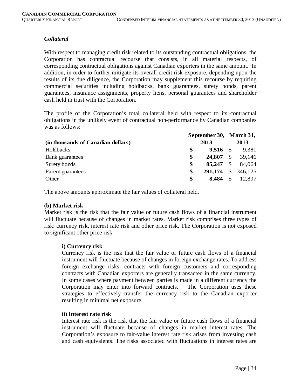# *Collateral*

With respect to managing credit risk related to its outstanding contractual obligations, the Corporation has contractual recourse that consists, in all material respects, of corresponding contractual obligations against Canadian exporters in the same amount. In addition, in order to further mitigate its overall credit risk exposure, depending upon the results of its due diligence, the Corporation may supplement this recourse by requiring commercial securities including holdbacks, bank guarantees, surety bonds, parent guarantees, insurance assignments, property liens, personal guarantees and shareholder cash held in trust with the Corporation.

The profile of the Corporation's total collateral held with respect to its contractual obligations in the unlikely event of contractual non-performance by Canadian companies was as follows:

|                                    | September 30, March 31, |                    |               |        |  |  |
|------------------------------------|-------------------------|--------------------|---------------|--------|--|--|
| (in thousands of Canadian dollars) |                         | 2013               | 2013          |        |  |  |
| Holdbacks                          | S                       | $9,516$ \$         |               | 9,381  |  |  |
| Bank guarantees                    | \$                      | 24,807             | $\mathcal{S}$ | 39,146 |  |  |
| Surety bonds                       | \$                      | 85,247             | <sup>\$</sup> | 84,064 |  |  |
| Parent guarantees                  | S                       | 291,174 \$ 346,125 |               |        |  |  |
| Other                              | \$                      | 8.484              | \$            | 12.897 |  |  |

The above amounts approximate the fair values of collateral held.

# **(b) Market risk**

Market risk is the risk that the fair value or future cash flows of a financial instrument will fluctuate because of changes in market rates. Market risk comprises three types of risk: currency risk, interest rate risk and other price risk. The Corporation is not exposed to significant other price risk.

# **i) Currency risk**

Currency risk is the risk that the fair value or future cash flows of a financial instrument will fluctuate because of changes in foreign exchange rates. To address foreign exchange risks, contracts with foreign customers and corresponding contracts with Canadian exporters are generally transacted in the same currency. In some cases where payment between parties is made in a different currency the Corporation may enter into forward contracts. The Corporation uses these strategies to effectively transfer the currency risk to the Canadian exporter resulting in minimal net exposure.

#### **ii) Interest rate risk**

Interest rate risk is the risk that the fair value or future cash flows of a financial instrument will fluctuate because of changes in market interest rates. The Corporation's exposure to fair-value interest rate risk arises from investing cash and cash equivalents. The risks associated with fluctuations in interest rates are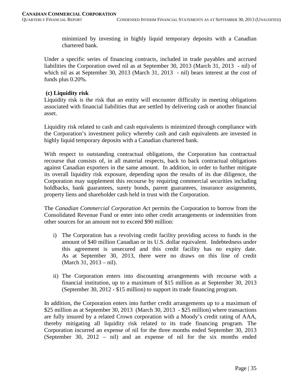minimized by investing in highly liquid temporary deposits with a Canadian chartered bank.

Under a specific series of financing contracts, included in trade payables and accrued liabilities the Corporation owed nil as at September 30, 2013 (March 31, 2013 - nil) of which nil as at September 30, 2013 (March 31, 2013 - nil) bears interest at the cost of funds plus 0.20%.

#### **(c) Liquidity risk**

Liquidity risk is the risk that an entity will encounter difficulty in meeting obligations associated with financial liabilities that are settled by delivering cash or another financial asset.

Liquidity risk related to cash and cash equivalents is minimized through compliance with the Corporation's investment policy whereby cash and cash equivalents are invested in highly liquid temporary deposits with a Canadian chartered bank.

With respect to outstanding contractual obligations, the Corporation has contractual recourse that consists of, in all material respects, back to back contractual obligations against Canadian exporters in the same amount. In addition, in order to further mitigate its overall liquidity risk exposure, depending upon the results of its due diligence, the Corporation may supplement this recourse by requiring commercial securities including holdbacks, bank guarantees, surety bonds, parent guarantees, insurance assignments, property liens and shareholder cash held in trust with the Corporation.

The *Canadian Commercial Corporation Act* permits the Corporation to borrow from the Consolidated Revenue Fund or enter into other credit arrangements or indemnities from other sources for an amount not to exceed \$90 million:

- i) The Corporation has a revolving credit facility providing access to funds in the amount of \$40 million Canadian or its U.S. dollar equivalent. Indebtedness under this agreement is unsecured and this credit facility has no expiry date. As at September 30, 2013, there were no draws on this line of credit (March 31, 2013 – nil).
- ii) The Corporation enters into discounting arrangements with recourse with a financial institution, up to a maximum of \$15 million as at September 30, 2013 (September 30, 2012 - \$15 million) to support its trade financing program.

In addition, the Corporation enters into further credit arrangements up to a maximum of \$25 million as at September 30, 2013 (March 30, 2013 - \$25 million) where transactions are fully insured by a related Crown corporation with a Moody's credit rating of AAA, thereby mitigating all liquidity risk related to its trade financing program. The Corporation incurred an expense of nil for the three months ended September 30, 2013 (September 30, 2012 – nil) and an expense of nil for the six months ended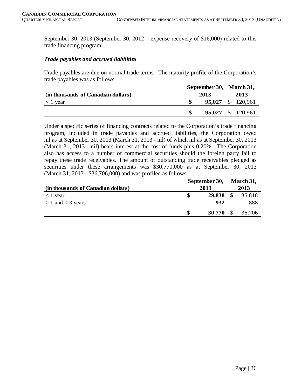September 30, 2013 (September 30, 2012 – expense recovery of \$16,000) related to this trade financing program.

#### *Trade payables and accrued liabilities*

Trade payables are due on normal trade terms. The maturity profile of the Corporation's trade payables was as follows:

|                                    | September 30, March 31, |                          |  |                          |
|------------------------------------|-------------------------|--------------------------|--|--------------------------|
| (in thousands of Canadian dollars) | 2013                    | 2013                     |  |                          |
| $<$ 1 year                         |                         |                          |  | <b>95,027</b> \$ 120,961 |
|                                    |                         | <b>95,027</b> \$ 120,961 |  |                          |

Under a specific series of financing contracts related to the Corporation's trade financing program, included in trade payables and accrued liabilities, the Corporation owed nil as at September 30, 2013 (March 31, 2013 - nil) of which nil as at September 30, 2013 (March 31, 2013 - nil) bears interest at the cost of funds plus 0.20%. The Corporation also has access to a number of commercial securities should the foreign party fail to repay these trade receivables. The amount of outstanding trade receivables pledged as securities under these arrangements was \$30,770,000 as at September 30, 2013 (March 31, 2013 - \$36,706,000) and was profiled as follows:

|                                    | September 30, |           | March 31, |        |
|------------------------------------|---------------|-----------|-----------|--------|
| (in thousands of Canadian dollars) |               | 2013      |           |        |
| $<$ 1 year                         |               | 29,838 \$ |           | 35,818 |
| $> 1$ and $<$ 3 years              |               | 932       |           | 888    |
|                                    |               | 30,770    | - \$      | 36,706 |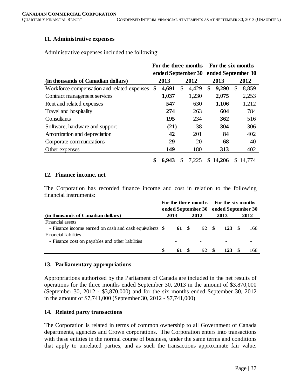#### **11. Administrative expenses**

Administrative expenses included the following:

|                                             | For the three months |                    |    |                    | For the six months |            |      |        |  |
|---------------------------------------------|----------------------|--------------------|----|--------------------|--------------------|------------|------|--------|--|
|                                             |                      | ended September 30 |    | ended September 30 |                    |            |      |        |  |
| (in thousands of Canadian dollars)          |                      | 2013<br>2012       |    |                    |                    | 2013       | 2012 |        |  |
| Workforce compensation and related expenses | \$                   | 4,691              | \$ | 4,429              | \$                 | 9,290      | \$   | 8,859  |  |
| Contract management services                |                      | 1,037              |    | 1,230              |                    | 2,075      |      | 2,253  |  |
| Rent and related expenses                   |                      | 547                |    | 630                |                    | 1,106      |      | 1,212  |  |
| Travel and hospitality                      |                      | 274                |    | 263                |                    | 604        |      | 784    |  |
| Consultants                                 |                      | 195                |    | 234                |                    | <b>362</b> |      | 516    |  |
| Software, hardware and support              |                      | (21)               |    | 38                 |                    | 304        |      | 306    |  |
| Amortization and depreciation               |                      | 42                 |    | 201                |                    | 84         |      | 402    |  |
| Corporate communications                    |                      | 29                 |    | 20                 |                    | 68         |      | 40     |  |
| Other expenses                              |                      | 149                |    | 180                |                    | 313        |      | 402    |  |
|                                             | \$                   | 6.943              | S  | 7,225              | S.                 | 14,206     | S.   | 14.774 |  |

#### **12. Finance income, net**

The Corporation has recorded finance income and cost in relation to the following financial instruments:

| (in thousands of Canadian dollars)                      |  |       |       | For the three months For the six months<br>ended September 30 ended September 30 |       |      |     |
|---------------------------------------------------------|--|-------|-------|----------------------------------------------------------------------------------|-------|------|-----|
|                                                         |  | 2013  | 2012  | 2013                                                                             |       | 2012 |     |
| Financial assets                                        |  |       |       |                                                                                  |       |      |     |
| - Finance income earned on cash and cash equivalents \$ |  | 61 \$ | 92 \$ |                                                                                  | 123 S |      | 168 |
| Financial liabilities                                   |  |       |       |                                                                                  |       |      |     |
| - Finance cost on payables and other liabilities        |  |       |       |                                                                                  |       |      |     |
|                                                         |  | 61    | 92    | - \$                                                                             |       |      | 168 |

#### **13. Parliamentary appropriations**

Appropriations authorized by the Parliament of Canada are included in the net results of operations for the three months ended September 30, 2013 in the amount of \$3,870,000 (September 30, 2012 - \$3,870,000) and for the six months ended September 30, 2012 in the amount of \$7,741,000 (September 30, 2012 - \$7,741,000)

#### **14. Related party transactions**

The Corporation is related in terms of common ownership to all Government of Canada departments, agencies and Crown corporations. The Corporation enters into transactions with these entities in the normal course of business, under the same terms and conditions that apply to unrelated parties, and as such the transactions approximate fair value.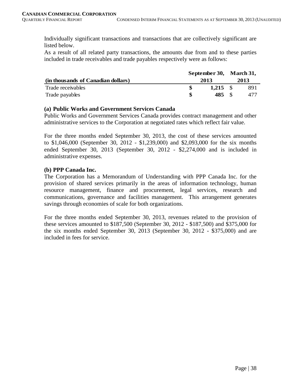Individually significant transactions and transactions that are collectively significant are listed below.

As a result of all related party transactions, the amounts due from and to these parties included in trade receivables and trade payables respectively were as follows:

|                                    |      |       | September 30, March 31, |      |  |
|------------------------------------|------|-------|-------------------------|------|--|
| (in thousands of Canadian dollars) | 2013 |       |                         | 2013 |  |
| Trade receivables                  |      |       |                         | 891  |  |
| Trade payables                     |      | 485 S |                         | 477  |  |

# **(a) Public Works and Government Services Canada**

Public Works and Government Services Canada provides contract management and other administrative services to the Corporation at negotiated rates which reflect fair value.

For the three months ended September 30, 2013, the cost of these services amounted to \$1,046,000 (September 30, 2012 - \$1,239,000) and \$2,093,000 for the six months ended September 30, 2013 (September 30, 2012 - \$2,274,000 and is included in administrative expenses.

# **(b) PPP Canada Inc.**

The Corporation has a Memorandum of Understanding with PPP Canada Inc. for the provision of shared services primarily in the areas of information technology, human resource management, finance and procurement, legal services, research and communications, governance and facilities management. This arrangement generates savings through economies of scale for both organizations.

For the three months ended September 30, 2013, revenues related to the provision of these services amounted to \$187,500 (September 30, 2012 - \$187,500) and \$375,000 for the six months ended September 30, 2013 (September 30, 2012 - \$375,000) and are included in fees for service.